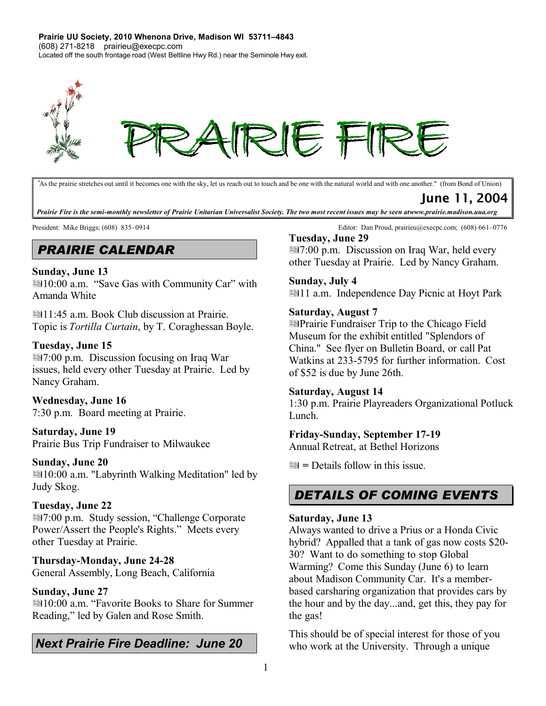**Prairie UU Society, 2010 Whenona Drive, Madison WI 53711–4843** (608) 271-8218 prairieu@execpc.com Located off the south frontage road (West Beltline Hwy Rd.) near the Seminole Hwy exit.



*"*As the prairie stretches out until it becomes one with the sky, let us reach out to touch and be one with the natural world and with one another." (from Bond of Union)

June 11, 2004

Prairie Fire is the semi-monthly newsletter of Prairie Unitarian Universalist Society. The two most recent issues may be seen atwww.prairie.madison.uua.org

# *PRAIRIE CALENDAR*

### **Sunday, June 13**

■10:00 a.m. "Save Gas with Community Car" with Amanda White

11:45 a.m. Book Club discussion at Prairie. Topic is *Tortilla Curtain*, by T. Coraghessan Boyle.

### **Tuesday, June 15**

7:00 p.m. Discussion focusing on Iraq War issues, held every other Tuesday at Prairie. Led by Nancy Graham.

### **Wednesday, June 16**

7:30 p.m. Board meeting at Prairie.

## **Saturday, June 19**

Prairie Bus Trip Fundraiser to Milwaukee

### **Sunday, June 20**

10:00 a.m. "Labyrinth Walking Meditation" led by Judy Skog.

### **Tuesday, June 22**

7:00 p.m. Study session, "Challenge Corporate Power/Assert the People's Rights." Meets every other Tuesday at Prairie.

### **Thursday-Monday, June 24-28**

General Assembly, Long Beach, California

### **Sunday, June 27**

■10:00 a.m. "Favorite Books to Share for Summer Reading," led by Galen and Rose Smith.

# *Next Prairie Fire Deadline: June 20*

President: Mike Briggs; (608) 835–0914 Editor: Dan Proud, prairieu@execpc.com; (608) 661–0776

### **Tuesday, June 29**

7:00 p.m. Discussion on Iraq War, held every other Tuesday at Prairie. Led by Nancy Graham.

### **Sunday, July 4**

■11 a.m. Independence Day Picnic at Hoyt Park

### **Saturday, August 7**

Prairie Fundraiser Trip to the Chicago Field Museum for the exhibit entitled "Splendors of China." See flyer on Bulletin Board, or call Pat Watkins at 233-5795 for further information. Cost of \$52 is due by June 26th.

### **Saturday, August 14**

1:30 p.m. Prairie Playreaders Organizational Potluck Lunch.

### **Friday-Sunday, September 17-19**

Annual Retreat, at Bethel Horizons

**=** Details follow in this issue.

# *DETAILS OF COMING EVENTS*

### **Saturday, June 13**

Always wanted to drive a Prius or a Honda Civic hybrid? Appalled that a tank of gas now costs \$20- 30? Want to do something to stop Global Warming? Come this Sunday (June 6) to learn about Madison Community Car. It's a memberbased carsharing organization that provides cars by the hour and by the day...and, get this, they pay for the gas!

This should be of special interest for those of you who work at the University. Through a unique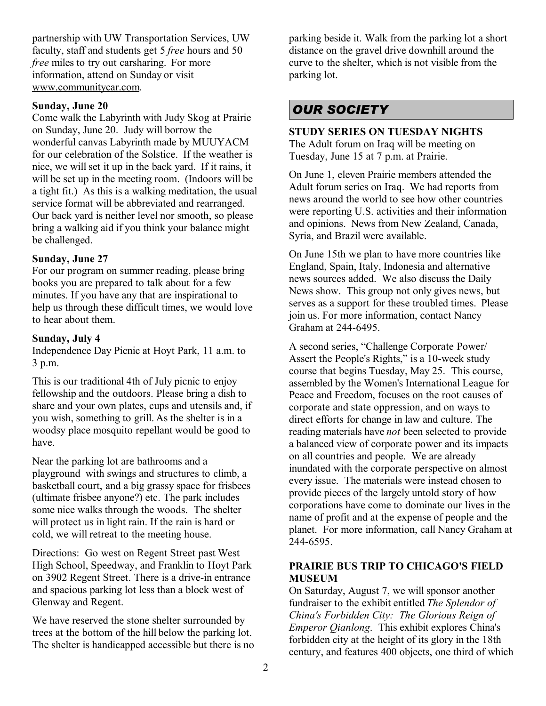partnership with UW Transportation Services, UW faculty, staff and students get 5 *free* hours and 50 *free* miles to try out carsharing. For more information, attend on Sunday or visit www.communitycar.com.

### **Sunday, June 20**

Come walk the Labyrinth with Judy Skog at Prairie on Sunday, June 20. Judy will borrow the wonderful canvas Labyrinth made by MUUYACM for our celebration of the Solstice. If the weather is nice, we will set it up in the back yard. If it rains, it will be set up in the meeting room. (Indoors will be a tight fit.) As this is a walking meditation, the usual service format will be abbreviated and rearranged. Our back yard is neither level nor smooth, so please bring a walking aid if you think your balance might be challenged.

### **Sunday, June 27**

For our program on summer reading, please bring books you are prepared to talk about for a few minutes. If you have any that are inspirational to help us through these difficult times, we would love to hear about them.

### **Sunday, July 4**

Independence Day Picnic at Hoyt Park, 11 a.m. to 3 p.m.

This is our traditional 4th of July picnic to enjoy fellowship and the outdoors. Please bring a dish to share and your own plates, cups and utensils and, if you wish, something to grill. As the shelter is in a woodsy place mosquito repellant would be good to have.

Near the parking lot are bathrooms and a playground with swings and structures to climb, a basketball court, and a big grassy space for frisbees (ultimate frisbee anyone?) etc. The park includes some nice walks through the woods. The shelter will protect us in light rain. If the rain is hard or cold, we will retreat to the meeting house.

Directions: Go west on Regent Street past West High School, Speedway, and Franklin to Hoyt Park on 3902 Regent Street. There is a drive-in entrance and spacious parking lot less than a block west of Glenway and Regent.

We have reserved the stone shelter surrounded by trees at the bottom of the hill below the parking lot. The shelter is handicapped accessible but there is no parking beside it. Walk from the parking lot a short distance on the gravel drive downhill around the curve to the shelter, which is not visible from the parking lot.

# *OUR SOCIETY*

## **STUDY SERIES ON TUESDAY NIGHTS**  The Adult forum on Iraq will be meeting on

Tuesday, June 15 at 7 p.m. at Prairie.

On June 1, eleven Prairie members attended the Adult forum series on Iraq. We had reports from news around the world to see how other countries were reporting U.S. activities and their information and opinions. News from New Zealand, Canada, Syria, and Brazil were available.

On June 15th we plan to have more countries like England, Spain, Italy, Indonesia and alternative news sources added. We also discuss the Daily News show. This group not only gives news, but serves as a support for these troubled times. Please join us. For more information, contact Nancy Graham at 244-6495.

A second series, "Challenge Corporate Power/ Assert the People's Rights," is a 10-week study course that begins Tuesday, May 25. This course, assembled by the Women's International League for Peace and Freedom, focuses on the root causes of corporate and state oppression, and on ways to direct efforts for change in law and culture. The reading materials have *not* been selected to provide a balanced view of corporate power and its impacts on all countries and people. We are already inundated with the corporate perspective on almost every issue. The materials were instead chosen to provide pieces of the largely untold story of how corporations have come to dominate our lives in the name of profit and at the expense of people and the planet. For more information, call Nancy Graham at 244-6595.

### **PRAIRIE BUS TRIP TO CHICAGO'S FIELD MUSEUM**

On Saturday, August 7, we will sponsor another fundraiser to the exhibit entitled *The Splendor of China's Forbidden City: The Glorious Reign of Emperor Qianlong*. This exhibit explores China's forbidden city at the height of its glory in the 18th century, and features 400 objects, one third of which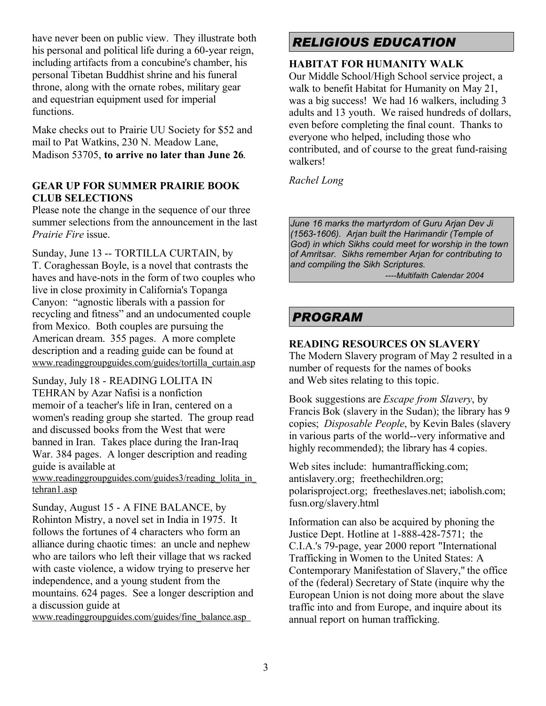have never been on public view. They illustrate both his personal and political life during a 60-year reign, including artifacts from a concubine's chamber, his personal Tibetan Buddhist shrine and his funeral throne, along with the ornate robes, military gear and equestrian equipment used for imperial functions.

Make checks out to Prairie UU Society for \$52 and mail to Pat Watkins, 230 N. Meadow Lane, Madison 53705, **to arrive no later than June 26**.

### **GEAR UP FOR SUMMER PRAIRIE BOOK CLUB SELECTIONS**

Please note the change in the sequence of our three summer selections from the announcement in the last *Prairie Fire* issue.

Sunday, June 13 -- TORTILLA CURTAIN, by T. Coraghessan Boyle, is a novel that contrasts the haves and have-nots in the form of two couples who live in close proximity in California's Topanga Canyon: "agnostic liberals with a passion for recycling and fitness" and an undocumented couple from Mexico. Both couples are pursuing the American dream. 355 pages. A more complete description and a reading guide can be found at www.readinggroupguides.com/guides/tortilla\_curtain.asp

Sunday, July 18 - READING LOLITA IN TEHRAN by Azar Nafisi is a nonfiction memoir of a teacher's life in Iran, centered on a women's reading group she started. The group read and discussed books from the West that were banned in Iran. Takes place during the Iran-Iraq War. 384 pages. A longer description and reading guide is available at

www.readinggroupguides.com/guides3/reading\_lolita\_in\_ tehran1.asp

Sunday, August 15 - A FINE BALANCE, by Rohinton Mistry, a novel set in India in 1975. It follows the fortunes of 4 characters who form an alliance during chaotic times: an uncle and nephew who are tailors who left their village that ws racked with caste violence, a widow trying to preserve her independence, and a young student from the mountains. 624 pages. See a longer description and a discussion guide at

www.readinggroupguides.com/guides/fine\_balance.asp

# *RELIGIOUS EDUCATION*

## **HABITAT FOR HUMANITY WALK**

Our Middle School/High School service project, a walk to benefit Habitat for Humanity on May 21, was a big success! We had 16 walkers, including 3 adults and 13 youth. We raised hundreds of dollars, even before completing the final count. Thanks to everyone who helped, including those who contributed, and of course to the great fund-raising walkers!

*Rachel Long*

*June 16 marks the martyrdom of Guru Arjan Dev Ji (1563-1606). Arjan built the Harimandir (Temple of God) in which Sikhs could meet for worship in the town of Amritsar. Sikhs remember Arjan for contributing to and compiling the Sikh Scriptures.*

*----Multifaith Calendar 2004*

# *PROGRAM*

### **READING RESOURCES ON SLAVERY**

The Modern Slavery program of May 2 resulted in a number of requests for the names of books and Web sites relating to this topic.

Book suggestions are *Escape from Slavery*, by Francis Bok (slavery in the Sudan); the library has 9 copies; *Disposable People*, by Kevin Bales (slavery in various parts of the world--very informative and highly recommended); the library has 4 copies.

Web sites include: humantrafficking.com; antislavery.org; freethechildren.org; polarisproject.org; freetheslaves.net; iabolish.com; fusn.org/slavery.html

Information can also be acquired by phoning the Justice Dept. Hotline at 1-888-428-7571; the C.I.A.'s 79-page, year 2000 report "International Trafficking in Women to the United States: A Contemporary Manifestation of Slavery," the office of the (federal) Secretary of State (inquire why the European Union is not doing more about the slave traffic into and from Europe, and inquire about its annual report on human trafficking.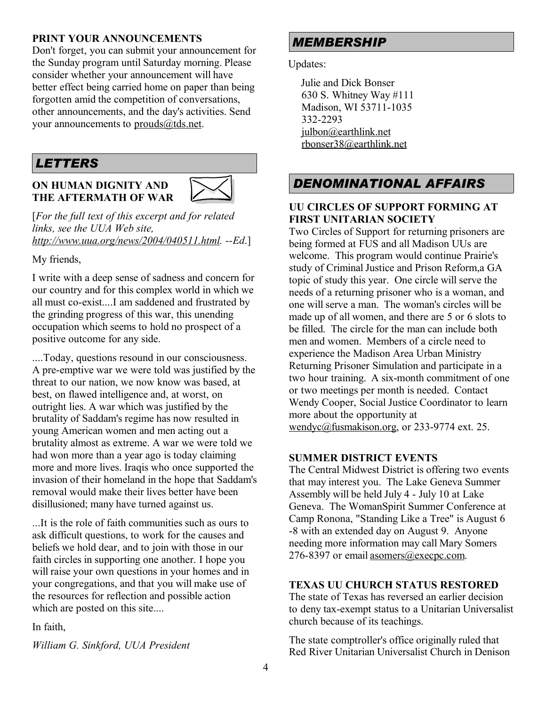### **PRINT YOUR ANNOUNCEMENTS**

Don't forget, you can submit your announcement for the Sunday program until Saturday morning. Please consider whether your announcement will have better effect being carried home on paper than being forgotten amid the competition of conversations, other announcements, and the day's activities. Send your announcements to prouds@tds.net.

## *LETTERS*

#### **ON HUMAN DIGNITY AND THE AFTERMATH OF WAR**



[*For the full text of this excerpt and for related links, see the UUA Web site, http://www.uua.org/news/2004/040511.html. --Ed*.]

My friends,

I write with a deep sense of sadness and concern for our country and for this complex world in which we all must co-exist....I am saddened and frustrated by the grinding progress of this war, this unending occupation which seems to hold no prospect of a positive outcome for any side.

....Today, questions resound in our consciousness. A pre-emptive war we were told was justified by the threat to our nation, we now know was based, at best, on flawed intelligence and, at worst, on outright lies. A war which was justified by the brutality of Saddam's regime has now resulted in young American women and men acting out a brutality almost as extreme. A war we were told we had won more than a year ago is today claiming more and more lives. Iraqis who once supported the invasion of their homeland in the hope that Saddam's removal would make their lives better have been disillusioned; many have turned against us.

...It is the role of faith communities such as ours to ask difficult questions, to work for the causes and beliefs we hold dear, and to join with those in our faith circles in supporting one another. I hope you will raise your own questions in your homes and in your congregations, and that you will make use of the resources for reflection and possible action which are posted on this site....

In faith,

*William G. Sinkford, UUA President*

# *MEMBERSHIP*

Updates:

Julie and Dick Bonser 630 S. Whitney Way #111 Madison, WI 53711-1035 332-2293 julbon@earthlink.net rbonser38@earthlink.net

# *DENOMINATIONAL AFFAIRS*

### **UU CIRCLES OF SUPPORT FORMING AT FIRST UNITARIAN SOCIETY**

Two Circles of Support for returning prisoners are being formed at FUS and all Madison UUs are welcome. This program would continue Prairie's study of Criminal Justice and Prison Reform,a GA topic of study this year. One circle will serve the needs of a returning prisoner who is a woman, and one will serve a man. The woman's circles will be made up of all women, and there are 5 or 6 slots to be filled. The circle for the man can include both men and women. Members of a circle need to experience the Madison Area Urban Ministry Returning Prisoner Simulation and participate in a two hour training. A six-month commitment of one or two meetings per month is needed. Contact Wendy Cooper, Social Justice Coordinator to learn more about the opportunity at wendyc@fusmakison.org, or 233-9774 ext. 25.

### **SUMMER DISTRICT EVENTS**

The Central Midwest District is offering two events that may interest you. The Lake Geneva Summer Assembly will be held July 4 - July 10 at Lake Geneva. The WomanSpirit Summer Conference at Camp Ronona, "Standing Like a Tree" is August 6 -8 with an extended day on August 9. Anyone needing more information may call Mary Somers 276-8397 or email asomers@execpc.com.

### **TEXAS UU CHURCH STATUS RESTORED**

The state of Texas has reversed an earlier decision to deny tax-exempt status to a Unitarian Universalist church because of its teachings.

The state comptroller's office originally ruled that Red River Unitarian Universalist Church in Denison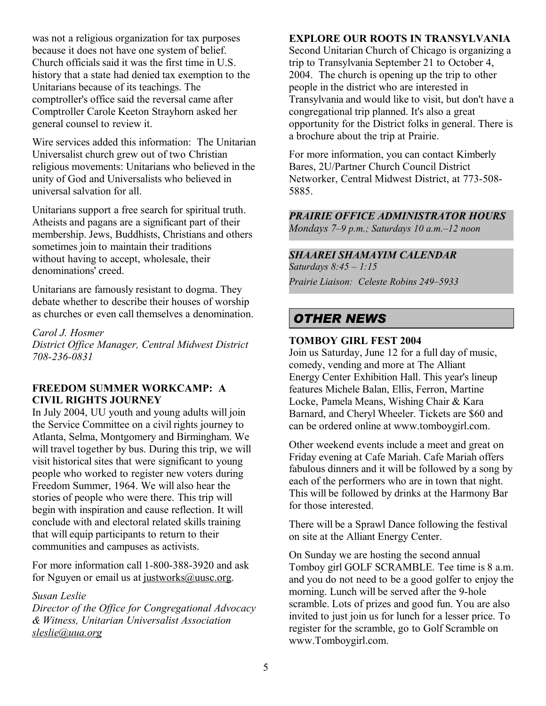was not a religious organization for tax purposes because it does not have one system of belief. Church officials said it was the first time in U.S. history that a state had denied tax exemption to the Unitarians because of its teachings. The comptroller's office said the reversal came after Comptroller Carole Keeton Strayhorn asked her general counsel to review it.

Wire services added this information: The Unitarian Universalist church grew out of two Christian religious movements: Unitarians who believed in the unity of God and Universalists who believed in universal salvation for all.

Unitarians support a free search for spiritual truth. Atheists and pagans are a significant part of their membership. Jews, Buddhists, Christians and others sometimes join to maintain their traditions without having to accept, wholesale, their denominations' creed.

Unitarians are famously resistant to dogma. They debate whether to describe their houses of worship as churches or even call themselves a denomination.

*Carol J. Hosmer District Office Manager, Central Midwest District 708-236-0831*

### **FREEDOM SUMMER WORKCAMP: A CIVIL RIGHTS JOURNEY**

In July 2004, UU youth and young adults will join the Service Committee on a civil rights journey to Atlanta, Selma, Montgomery and Birmingham. We will travel together by bus. During this trip, we will visit historical sites that were significant to young people who worked to register new voters during Freedom Summer, 1964. We will also hear the stories of people who were there. This trip will begin with inspiration and cause reflection. It will conclude with and electoral related skills training that will equip participants to return to their communities and campuses as activists.

For more information call 1-800-388-3920 and ask for Nguyen or email us at justworks@uusc.org.

#### *Susan Leslie*

*Director of the Office for Congregational Advocacy & Witness, Unitarian Universalist Association sleslie@uua.org*

## **EXPLORE OUR ROOTS IN TRANSYLVANIA**

Second Unitarian Church of Chicago is organizing a trip to Transylvania September 21 to October 4, 2004. The church is opening up the trip to other people in the district who are interested in Transylvania and would like to visit, but don't have a congregational trip planned. It's also a great opportunity for the District folks in general. There is a brochure about the trip at Prairie.

For more information, you can contact Kimberly Bares, 2U/Partner Church Council District Networker, Central Midwest District, at 773-508- 5885.

*PRAIRIE OFFICE ADMINISTRATOR HOURS*

*Mondays 7–9 p.m.; Saturdays 10 a.m.–12 noon*

### *SHAAREI SHAMAYIM CALENDAR*

*Saturdays 8:45 – 1:15 Prairie Liaison: Celeste Robins 249–5933*

## *OTHER NEWS*

### **TOMBOY GIRL FEST 2004**

Join us Saturday, June 12 for a full day of music, comedy, vending and more at The Alliant Energy Center Exhibition Hall. This year's lineup features Michele Balan, Ellis, Ferron, Martine Locke, Pamela Means, Wishing Chair & Kara Barnard, and Cheryl Wheeler. Tickets are \$60 and can be ordered online at www.tomboygirl.com.

Other weekend events include a meet and great on Friday evening at Cafe Mariah. Cafe Mariah offers fabulous dinners and it will be followed by a song by each of the performers who are in town that night. This will be followed by drinks at the Harmony Bar for those interested.

There will be a Sprawl Dance following the festival on site at the Alliant Energy Center.

On Sunday we are hosting the second annual Tomboy girl GOLF SCRAMBLE. Tee time is 8 a.m. and you do not need to be a good golfer to enjoy the morning. Lunch will be served after the 9-hole scramble. Lots of prizes and good fun. You are also invited to just join us for lunch for a lesser price. To register for the scramble, go to Golf Scramble on www.Tomboygirl.com.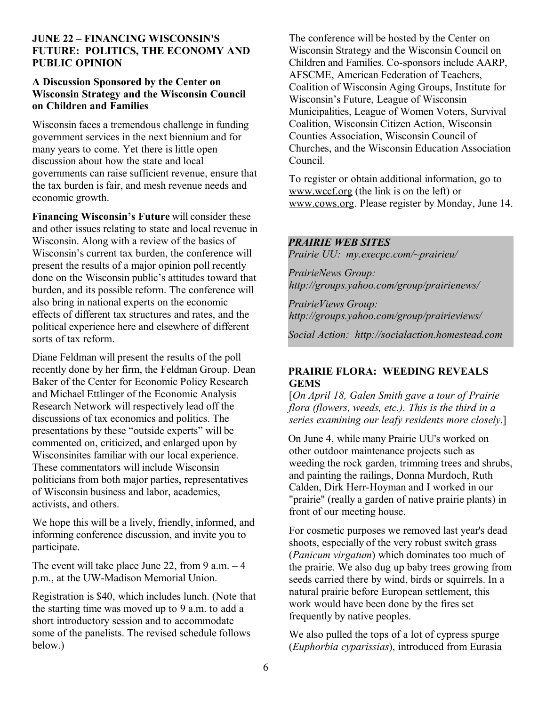### **JUNE 22 – FINANCING WISCONSIN'S FUTURE: POLITICS, THE ECONOMY AND PUBLIC OPINION**

### **A Discussion Sponsored by the Center on Wisconsin Strategy and the Wisconsin Council on Children and Families**

Wisconsin faces a tremendous challenge in funding government services in the next biennium and for many years to come. Yet there is little open discussion about how the state and local governments can raise sufficient revenue, ensure that the tax burden is fair, and mesh revenue needs and economic growth.

**Financing Wisconsin's Future** will consider these and other issues relating to state and local revenue in Wisconsin. Along with a review of the basics of Wisconsin's current tax burden, the conference will present the results of a major opinion poll recently done on the Wisconsin public's attitudes toward that burden, and its possible reform. The conference will also bring in national experts on the economic effects of different tax structures and rates, and the political experience here and elsewhere of different sorts of tax reform.

Diane Feldman will present the results of the poll recently done by her firm, the Feldman Group. Dean Baker of the Center for Economic Policy Research and Michael Ettlinger of the Economic Analysis Research Network will respectively lead off the discussions of tax economics and politics. The presentations by these "outside experts" will be commented on, criticized, and enlarged upon by Wisconsinites familiar with our local experience. These commentators will include Wisconsin politicians from both major parties, representatives of Wisconsin business and labor, academics, activists, and others.

We hope this will be a lively, friendly, informed, and informing conference discussion, and invite you to participate.

The event will take place June 22, from 9 a.m.  $-4$ p.m., at the UW-Madison Memorial Union.

Registration is \$40, which includes lunch. (Note that the starting time was moved up to 9 a.m. to add a short introductory session and to accommodate some of the panelists. The revised schedule follows below.)

The conference will be hosted by the Center on Wisconsin Strategy and the Wisconsin Council on Children and Families. Co-sponsors include AARP, AFSCME, American Federation of Teachers, Coalition of Wisconsin Aging Groups, Institute for Wisconsin's Future, League of Wisconsin Municipalities, League of Women Voters, Survival Coalition, Wisconsin Citizen Action, Wisconsin Counties Association, Wisconsin Council of Churches, and the Wisconsin Education Association Council.

To register or obtain additional information, go to www.wccf.org (the link is on the left) or www.cows.org. Please register by Monday, June 14.

### *PRAIRIE WEB SITES*

*Prairie UU: my.execpc.com/~prairieu/*

*PrairieNews Group: http://groups.yahoo.com/group/prairienews/*

*PrairieViews Group: http://groups.yahoo.com/group/prairieviews/*

*Social Action: http://socialaction.homestead.com*

### **PRAIRIE FLORA: WEEDING REVEALS GEMS**

[*On April 18, Galen Smith gave a tour of Prairie flora (flowers, weeds, etc.). This is the third in a series examining our leafy residents more closely.*]

On June 4, while many Prairie UU's worked on other outdoor maintenance projects such as weeding the rock garden, trimming trees and shrubs, and painting the railings, Donna Murdoch, Ruth Calden, Dirk Herr-Hoyman and I worked in our "prairie" (really a garden of native prairie plants) in front of our meeting house.

For cosmetic purposes we removed last year's dead shoots, especially of the very robust switch grass (*Panicum virgatum*) which dominates too much of the prairie. We also dug up baby trees growing from seeds carried there by wind, birds or squirrels. In a natural prairie before European settlement, this work would have been done by the fires set frequently by native peoples.

We also pulled the tops of a lot of cypress spurge (*Euphorbia cyparissias*), introduced from Eurasia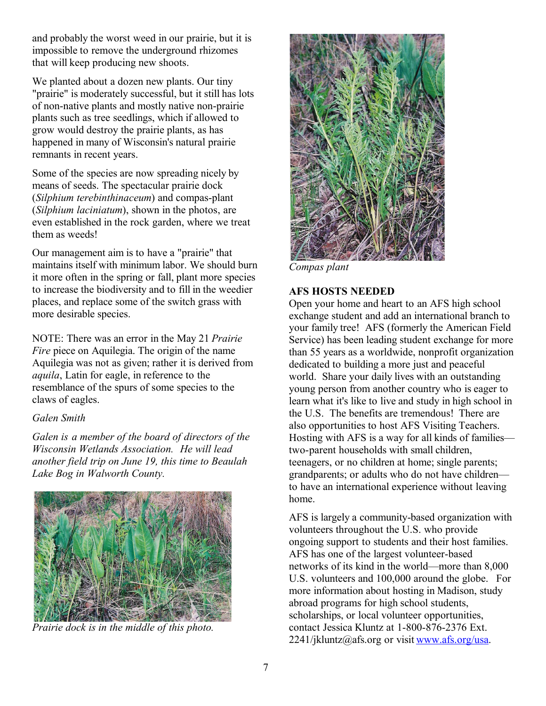and probably the worst weed in our prairie, but it is impossible to remove the underground rhizomes that will keep producing new shoots.

We planted about a dozen new plants. Our tiny "prairie" is moderately successful, but it still has lots of non-native plants and mostly native non-prairie plants such as tree seedlings, which if allowed to grow would destroy the prairie plants, as has happened in many of Wisconsin's natural prairie remnants in recent years.

Some of the species are now spreading nicely by means of seeds. The spectacular prairie dock (*Silphium terebinthinaceum*) and compas-plant (*Silphium laciniatum*), shown in the photos, are even established in the rock garden, where we treat them as weeds!

Our management aim is to have a "prairie" that maintains itself with minimum labor. We should burn it more often in the spring or fall, plant more species to increase the biodiversity and to fill in the weedier places, and replace some of the switch grass with more desirable species.

NOTE: There was an error in the May 21 *Prairie Fire* piece on Aquilegia. The origin of the name Aquilegia was not as given; rather it is derived from *aquila*, Latin for eagle, in reference to the resemblance of the spurs of some species to the claws of eagles.

### *Galen Smith*

*Galen is a member of the board of directors of the Wisconsin Wetlands Association. He will lead another field trip on June 19, this time to Beaulah Lake Bog in Walworth County.*



*Prairie dock is in the middle of this photo.*



*Compas plant*

### **AFS HOSTS NEEDED**

Open your home and heart to an AFS high school exchange student and add an international branch to your family tree! AFS (formerly the American Field Service) has been leading student exchange for more than 55 years as a worldwide, nonprofit organization dedicated to building a more just and peaceful world. Share your daily lives with an outstanding young person from another country who is eager to learn what it's like to live and study in high school in the U.S. The benefits are tremendous! There are also opportunities to host AFS Visiting Teachers. Hosting with AFS is a way for all kinds of families two-parent households with small children, teenagers, or no children at home; single parents; grandparents; or adults who do not have children to have an international experience without leaving home.

AFS is largely a community-based organization with volunteers throughout the U.S. who provide ongoing support to students and their host families. AFS has one of the largest volunteer-based networks of its kind in the world—more than 8,000 U.S. volunteers and 100,000 around the globe. For more information about hosting in Madison, study abroad programs for high school students, scholarships, or local volunteer opportunities, contact Jessica Kluntz at 1-800-876-2376 Ext.  $2241$ /jkluntz@afs.org or visit www.afs.org/usa.